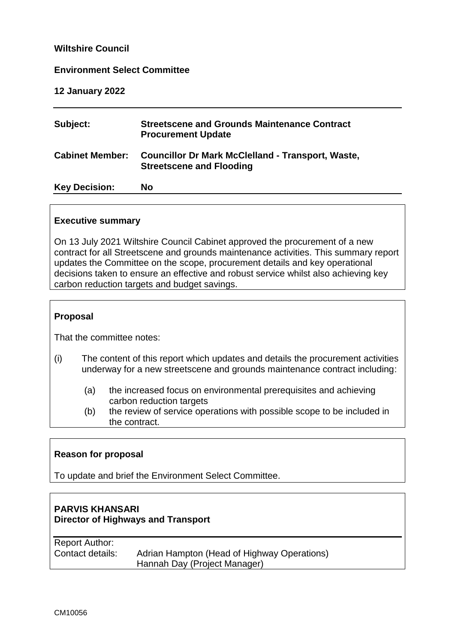### **Wiltshire Council**

#### **Environment Select Committee**

**12 January 2022**

| Subject:               | <b>Streetscene and Grounds Maintenance Contract</b><br><b>Procurement Update</b>            |
|------------------------|---------------------------------------------------------------------------------------------|
| <b>Cabinet Member:</b> | <b>Councillor Dr Mark McClelland - Transport, Waste,</b><br><b>Streetscene and Flooding</b> |
| <b>Key Decision:</b>   | No                                                                                          |

#### **Executive summary**

On 13 July 2021 Wiltshire Council Cabinet approved the procurement of a new contract for all Streetscene and grounds maintenance activities. This summary report updates the Committee on the scope, procurement details and key operational decisions taken to ensure an effective and robust service whilst also achieving key carbon reduction targets and budget savings.

## **Proposal**

That the committee notes:

- (i) The content of this report which updates and details the procurement activities underway for a new streetscene and grounds maintenance contract including:
	- (a) the increased focus on environmental prerequisites and achieving carbon reduction targets
	- (b) the review of service operations with possible scope to be included in the contract.

## **Reason for proposal**

To update and brief the Environment Select Committee.

# **PARVIS KHANSARI Director of Highways and Transport**

Report Author: Contact details: Adrian Hampton (Head of Highway Operations) Hannah Day (Project Manager)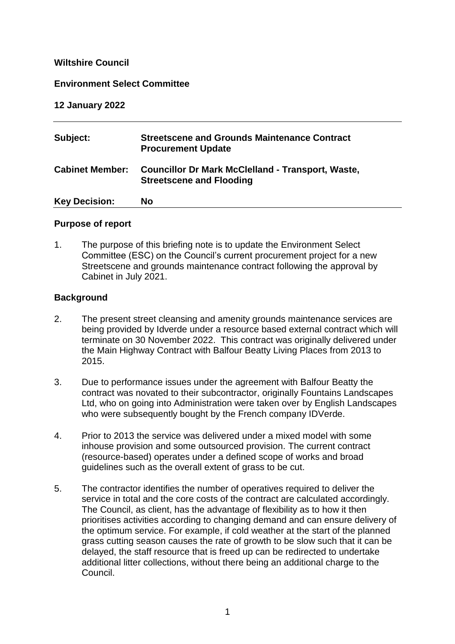## **Wiltshire Council**

### **Environment Select Committee**

### **12 January 2022**

| Subject:               | <b>Streetscene and Grounds Maintenance Contract</b><br><b>Procurement Update</b>            |
|------------------------|---------------------------------------------------------------------------------------------|
| <b>Cabinet Member:</b> | <b>Councillor Dr Mark McClelland - Transport, Waste,</b><br><b>Streetscene and Flooding</b> |
| <b>Key Decision:</b>   | No                                                                                          |

### **Purpose of report**

1. The purpose of this briefing note is to update the Environment Select Committee (ESC) on the Council's current procurement project for a new Streetscene and grounds maintenance contract following the approval by Cabinet in July 2021.

### **Background**

- 2. The present street cleansing and amenity grounds maintenance services are being provided by Idverde under a resource based external contract which will terminate on 30 November 2022. This contract was originally delivered under the Main Highway Contract with Balfour Beatty Living Places from 2013 to 2015.
- 3. Due to performance issues under the agreement with Balfour Beatty the contract was novated to their subcontractor, originally Fountains Landscapes Ltd, who on going into Administration were taken over by English Landscapes who were subsequently bought by the French company IDVerde.
- 4. Prior to 2013 the service was delivered under a mixed model with some inhouse provision and some outsourced provision. The current contract (resource-based) operates under a defined scope of works and broad guidelines such as the overall extent of grass to be cut.
- 5. The contractor identifies the number of operatives required to deliver the service in total and the core costs of the contract are calculated accordingly. The Council, as client, has the advantage of flexibility as to how it then prioritises activities according to changing demand and can ensure delivery of the optimum service. For example, if cold weather at the start of the planned grass cutting season causes the rate of growth to be slow such that it can be delayed, the staff resource that is freed up can be redirected to undertake additional litter collections, without there being an additional charge to the Council.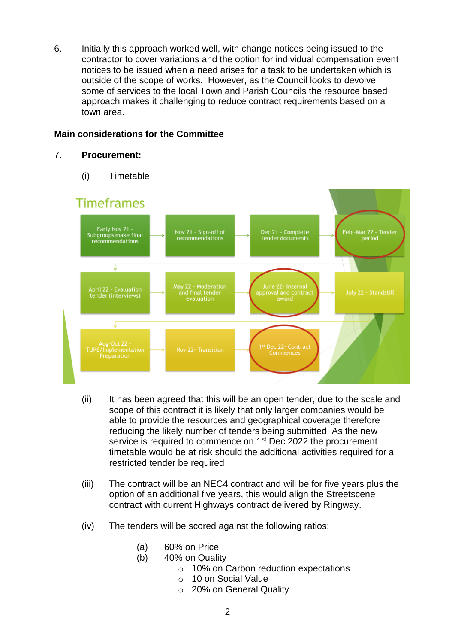6. Initially this approach worked well, with change notices being issued to the contractor to cover variations and the option for individual compensation event notices to be issued when a need arises for a task to be undertaken which is outside of the scope of works. However, as the Council looks to devolve some of services to the local Town and Parish Councils the resource based approach makes it challenging to reduce contract requirements based on a town area.

# **Main considerations for the Committee**

### 7. **Procurement:**

(i) Timetable



- (ii) It has been agreed that this will be an open tender, due to the scale and scope of this contract it is likely that only larger companies would be able to provide the resources and geographical coverage therefore reducing the likely number of tenders being submitted. As the new service is required to commence on 1<sup>st</sup> Dec 2022 the procurement timetable would be at risk should the additional activities required for a restricted tender be required
- (iii) The contract will be an NEC4 contract and will be for five years plus the option of an additional five years, this would align the Streetscene contract with current Highways contract delivered by Ringway.
- (iv) The tenders will be scored against the following ratios:
	- (a) 60% on Price
	- (b) 40% on Quality
		- o 10% on Carbon reduction expectations
		- o 10 on Social Value
		- o 20% on General Quality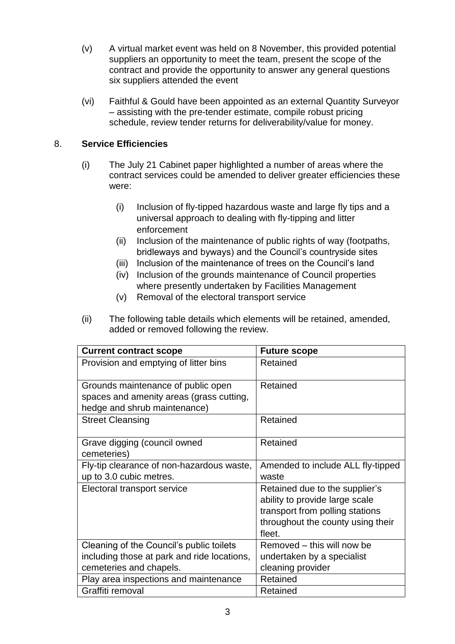- (v) A virtual market event was held on 8 November, this provided potential suppliers an opportunity to meet the team, present the scope of the contract and provide the opportunity to answer any general questions six suppliers attended the event
- (vi) Faithful & Gould have been appointed as an external Quantity Surveyor – assisting with the pre-tender estimate, compile robust pricing schedule, review tender returns for deliverability/value for money.

# 8. **Service Efficiencies**

- (i) The July 21 Cabinet paper highlighted a number of areas where the contract services could be amended to deliver greater efficiencies these were:
	- (i) Inclusion of fly-tipped hazardous waste and large fly tips and a universal approach to dealing with fly-tipping and litter enforcement
	- (ii) Inclusion of the maintenance of public rights of way (footpaths, bridleways and byways) and the Council's countryside sites
	- (iii) Inclusion of the maintenance of trees on the Council's land
	- (iv) Inclusion of the grounds maintenance of Council properties where presently undertaken by Facilities Management
	- (v) Removal of the electoral transport service
- (ii) The following table details which elements will be retained, amended, added or removed following the review.

| <b>Current contract scope</b>                                                  | <b>Future scope</b>               |
|--------------------------------------------------------------------------------|-----------------------------------|
| Provision and emptying of litter bins                                          | Retained                          |
| Grounds maintenance of public open<br>spaces and amenity areas (grass cutting, | Retained                          |
| hedge and shrub maintenance)                                                   |                                   |
| <b>Street Cleansing</b>                                                        | Retained                          |
| Grave digging (council owned<br>cemeteries)                                    | Retained                          |
| Fly-tip clearance of non-hazardous waste,                                      | Amended to include ALL fly-tipped |
| up to 3.0 cubic metres.                                                        | waste                             |
| Electoral transport service                                                    | Retained due to the supplier's    |
|                                                                                | ability to provide large scale    |
|                                                                                | transport from polling stations   |
|                                                                                | throughout the county using their |
|                                                                                | fleet.                            |
| Cleaning of the Council's public toilets                                       | Removed – this will now be        |
| including those at park and ride locations,                                    | undertaken by a specialist        |
| cemeteries and chapels.                                                        | cleaning provider                 |
| Play area inspections and maintenance                                          | Retained                          |
| Graffiti removal                                                               | Retained                          |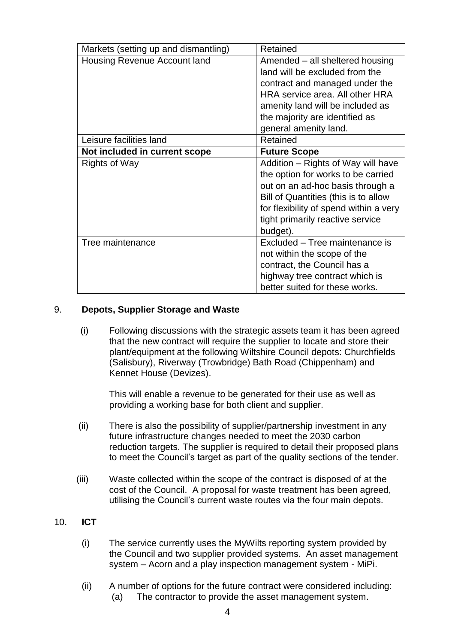| Markets (setting up and dismantling) | Retained                               |
|--------------------------------------|----------------------------------------|
| Housing Revenue Account land         | Amended – all sheltered housing        |
|                                      | land will be excluded from the         |
|                                      | contract and managed under the         |
|                                      | HRA service area. All other HRA        |
|                                      | amenity land will be included as       |
|                                      | the majority are identified as         |
|                                      | general amenity land.                  |
| Leisure facilities land              | Retained                               |
| Not included in current scope        | <b>Future Scope</b>                    |
| Rights of Way                        | Addition – Rights of Way will have     |
|                                      | the option for works to be carried     |
|                                      | out on an ad-hoc basis through a       |
|                                      |                                        |
|                                      | Bill of Quantities (this is to allow   |
|                                      | for flexibility of spend within a very |
|                                      | tight primarily reactive service       |
|                                      | budget).                               |
| Tree maintenance                     | Excluded - Tree maintenance is         |
|                                      | not within the scope of the            |
|                                      | contract, the Council has a            |
|                                      | highway tree contract which is         |

# 9. **Depots, Supplier Storage and Waste**

(i) Following discussions with the strategic assets team it has been agreed that the new contract will require the supplier to locate and store their plant/equipment at the following Wiltshire Council depots: Churchfields (Salisbury), Riverway (Trowbridge) Bath Road (Chippenham) and Kennet House (Devizes).

This will enable a revenue to be generated for their use as well as providing a working base for both client and supplier.

- (ii) There is also the possibility of supplier/partnership investment in any future infrastructure changes needed to meet the 2030 carbon reduction targets. The supplier is required to detail their proposed plans to meet the Council's target as part of the quality sections of the tender.
- (iii) Waste collected within the scope of the contract is disposed of at the cost of the Council. A proposal for waste treatment has been agreed, utilising the Council's current waste routes via the four main depots.
- 10. **ICT**
	- (i) The service currently uses the MyWilts reporting system provided by the Council and two supplier provided systems. An asset management system – Acorn and a play inspection management system - MiPi.
	- (ii) A number of options for the future contract were considered including: (a) The contractor to provide the asset management system.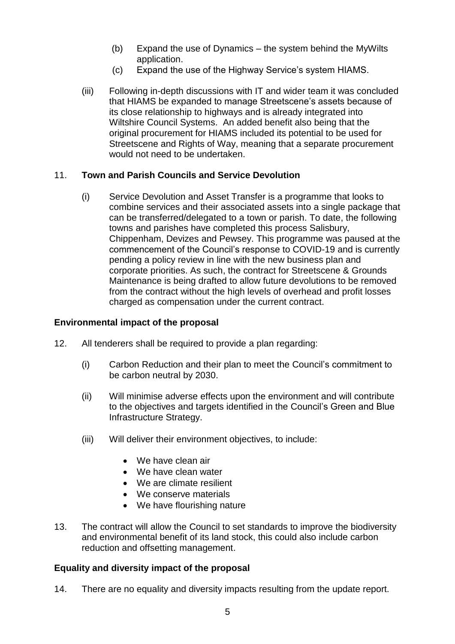- (b) Expand the use of Dynamics the system behind the MyWilts application.
- (c) Expand the use of the Highway Service's system HIAMS.
- (iii) Following in-depth discussions with IT and wider team it was concluded that HIAMS be expanded to manage Streetscene's assets because of its close relationship to highways and is already integrated into Wiltshire Council Systems. An added benefit also being that the original procurement for HIAMS included its potential to be used for Streetscene and Rights of Way, meaning that a separate procurement would not need to be undertaken.

# 11. **Town and Parish Councils and Service Devolution**

(i) Service Devolution and Asset Transfer is a programme that looks to combine services and their associated assets into a single package that can be transferred/delegated to a town or parish. To date, the following towns and parishes have completed this process Salisbury, Chippenham, Devizes and Pewsey. This programme was paused at the commencement of the Council's response to COVID-19 and is currently pending a policy review in line with the new business plan and corporate priorities. As such, the contract for Streetscene & Grounds Maintenance is being drafted to allow future devolutions to be removed from the contract without the high levels of overhead and profit losses charged as compensation under the current contract.

## **Environmental impact of the proposal**

- 12. All tenderers shall be required to provide a plan regarding:
	- (i) Carbon Reduction and their plan to meet the Council's commitment to be carbon neutral by 2030.
	- (ii) Will minimise adverse effects upon the environment and will contribute to the objectives and targets identified in the Council's Green and Blue Infrastructure Strategy.
	- (iii) Will deliver their environment objectives, to include:
		- We have clean air
		- We have clean water
		- We are climate resilient
		- We conserve materials
		- We have flourishing nature
- 13. The contract will allow the Council to set standards to improve the biodiversity and environmental benefit of its land stock, this could also include carbon reduction and offsetting management.

## **Equality and diversity impact of the proposal**

14. There are no equality and diversity impacts resulting from the update report.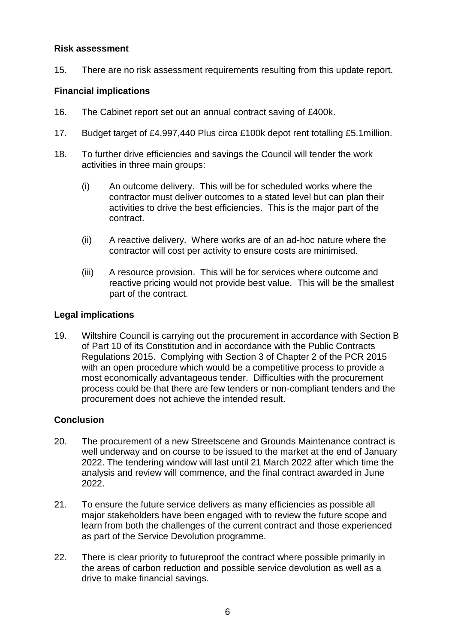## **Risk assessment**

15. There are no risk assessment requirements resulting from this update report.

# **Financial implications**

- 16. The Cabinet report set out an annual contract saving of £400k.
- 17. Budget target of £4,997,440 Plus circa £100k depot rent totalling £5.1million.
- 18. To further drive efficiencies and savings the Council will tender the work activities in three main groups:
	- (i) An outcome delivery. This will be for scheduled works where the contractor must deliver outcomes to a stated level but can plan their activities to drive the best efficiencies. This is the major part of the contract.
	- (ii) A reactive delivery. Where works are of an ad-hoc nature where the contractor will cost per activity to ensure costs are minimised.
	- (iii) A resource provision. This will be for services where outcome and reactive pricing would not provide best value. This will be the smallest part of the contract.

# **Legal implications**

19. Wiltshire Council is carrying out the procurement in accordance with Section B of Part 10 of its Constitution and in accordance with the Public Contracts Regulations 2015. Complying with Section 3 of Chapter 2 of the PCR 2015 with an open procedure which would be a competitive process to provide a most economically advantageous tender. Difficulties with the procurement process could be that there are few tenders or non-compliant tenders and the procurement does not achieve the intended result.

# **Conclusion**

- 20. The procurement of a new Streetscene and Grounds Maintenance contract is well underway and on course to be issued to the market at the end of January 2022. The tendering window will last until 21 March 2022 after which time the analysis and review will commence, and the final contract awarded in June 2022.
- 21. To ensure the future service delivers as many efficiencies as possible all major stakeholders have been engaged with to review the future scope and learn from both the challenges of the current contract and those experienced as part of the Service Devolution programme.
- 22. There is clear priority to futureproof the contract where possible primarily in the areas of carbon reduction and possible service devolution as well as a drive to make financial savings.